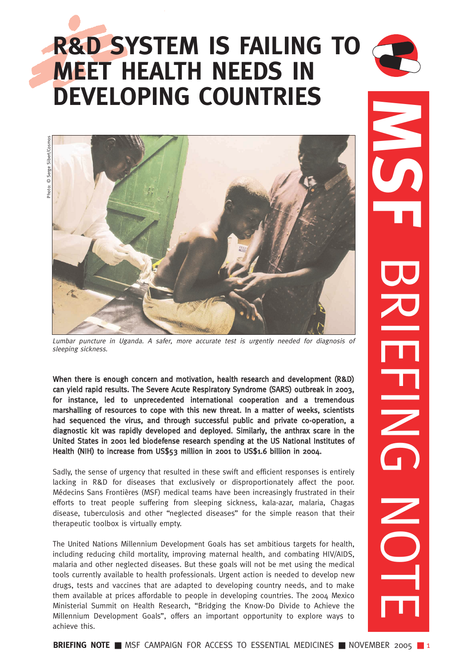# **R&D SYSTEM IS FAILING TO MEET HEALTH NEEDS IN DEVELOPING COUNTRIES**



Photo: © Serge Sibert/Cosmos Sibert/Cosmo hoto: © Serge



Lumbar puncture in Uganda. A safer, more accurate test is urgently needed for diagnosis of sleeping sickness.

When there is enough concern and motivation, health research and development (R&D) can yield rapid results. The Severe Acute Respiratory Syndrome (SARS) outbreak in 2003, for instance, led to unprecedented international cooperation and a tremendous marshalling of resources to cope with this new threat. In a matter of weeks, scientists had sequenced the virus, and through successful public and private co-operation, a diagnostic kit was rapidly developed and deployed. Similarly, the anthrax scare in the United States in 2001 led biodefense research spending at the US National Institutes of Health (NIH) to increase from US\$53 million in 2001 to US\$1.6 billion in 2004.

Sadly, the sense of urgency that resulted in these swift and efficient responses is entirely lacking in R&D for diseases that exclusively or disproportionately affect the poor. Médecins Sans Frontières (MSF) medical teams have been increasingly frustrated in their efforts to treat people suffering from sleeping sickness, kala-azar, malaria, Chagas disease, tuberculosis and other "neglected diseases" for the simple reason that their therapeutic toolbox is virtually empty.

The United Nations Millennium Development Goals has set ambitious targets for health, including reducing child mortality, improving maternal health, and combating HIV/AIDS, malaria and other neglected diseases. But these goals will not be met using the medical tools currently available to health professionals. Urgent action is needed to develop new drugs, tests and vaccines that are adapted to developing country needs, and to make them available at prices affordable to people in developing countries. The 2004 Mexico Ministerial Summit on Health Research, "Bridging the Know-Do Divide to Achieve the Millennium Development Goals", offers an important opportunity to explore ways to achieve this.

**MB**<br> BRIEFING NOTE  $\frac{1}{2}$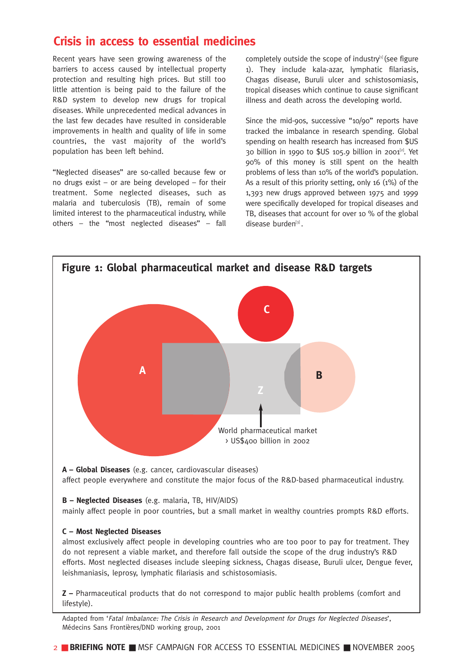## **Crisis in access to essential medicines**

Recent years have seen growing awareness of the barriers to access caused by intellectual property protection and resulting high prices. But still too little attention is being paid to the failure of the R&D system to develop new drugs for tropical diseases. While unprecedented medical advances in the last few decades have resulted in considerable improvements in health and quality of life in some countries, the vast majority of the world's population has been left behind.

"Neglected diseases" are so-called because few or no drugs exist – or are being developed – for their treatment. Some neglected diseases, such as malaria and tuberculosis (TB), remain of some limited interest to the pharmaceutical industry, while others – the "most neglected diseases" – fall completely outside the scope of industry $[1]$  (see figure 1). They include kala-azar, lymphatic filariasis, Chagas disease, Buruli ulcer and schistosomiasis, tropical diseases which continue to cause significant illness and death across the developing world.

Since the mid-90s, successive "10/90" reports have tracked the imbalance in research spending. Global spending on health research has increased from \$US 30 billion in 1990 to  $$US$  105.9 billion in 2001<sup>[2]</sup>. Yet 90% of this money is still spent on the health problems of less than 10% of the world's population. As a result of this priority setting, only 16 (1%) of the 1,393 new drugs approved between 1975 and 1999 were specifically developed for tropical diseases and TB, diseases that account for over 10 % of the global disease burden<sup>[3]</sup>.



Adapted from 'Fatal Imbalance: The Crisis in Research and Development for Drugs for Neglected Diseases', Médecins Sans Frontières/DND working group, 2001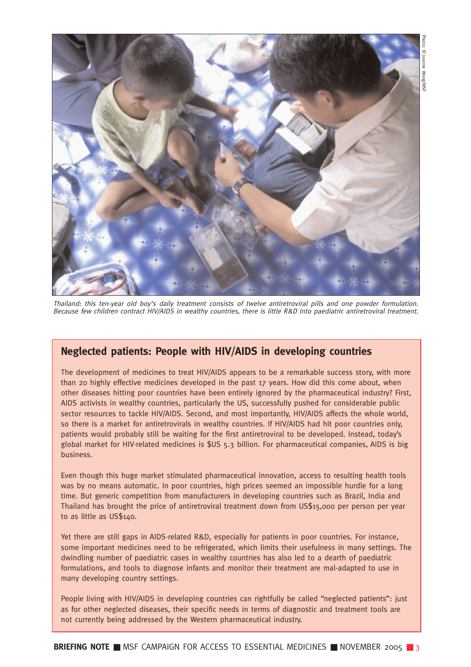

Thailand: this ten-year old boy's daily treatment consists of twelve antiretroviral pills and one powder formulation. Because few children contract HIV/AIDS in wealthy countries, there is little R&D into paediatric antiretroviral treatment.

## **Neglected patients: People with HIV/AIDS in developing countries**

The development of medicines to treat HIV/AIDS appears to be a remarkable success story, with more than 20 highly effective medicines developed in the past 17 years. How did this come about, when other diseases hitting poor countries have been entirely ignored by the pharmaceutical industry? First, AIDS activists in wealthy countries, particularly the US, successfully pushed for considerable public sector resources to tackle HIV/AIDS. Second, and most importantly, HIV/AIDS affects the whole world, so there is a market for antiretrovirals in wealthy countries. If HIV/AIDS had hit poor countries only, patients would probably still be waiting for the first antiretroviral to be developed. Instead, today's global market for HIV-related medicines is \$US 5.3 billion. For pharmaceutical companies, AIDS is big business.

Even though this huge market stimulated pharmaceutical innovation, access to resulting health tools was by no means automatic. In poor countries, high prices seemed an impossible hurdle for a long time. But generic competition from manufacturers in developing countries such as Brazil, India and Thailand has brought the price of antiretroviral treatment down from US\$15,000 per person per year to as little as US\$140.

Yet there are still gaps in AIDS-related R&D, especially for patients in poor countries. For instance, some important medicines need to be refrigerated, which limits their usefulness in many settings. The dwindling number of paediatric cases in wealthy countries has also led to a dearth of paediatric formulations, and tools to diagnose infants and monitor their treatment are mal-adapted to use in many developing country settings.

People living with HIV/AIDS in developing countries can rightfully be called "neglected patients": just as for other neglected diseases, their specific needs in terms of diagnostic and treatment tools are not currently being addressed by the Western pharmaceutical industry.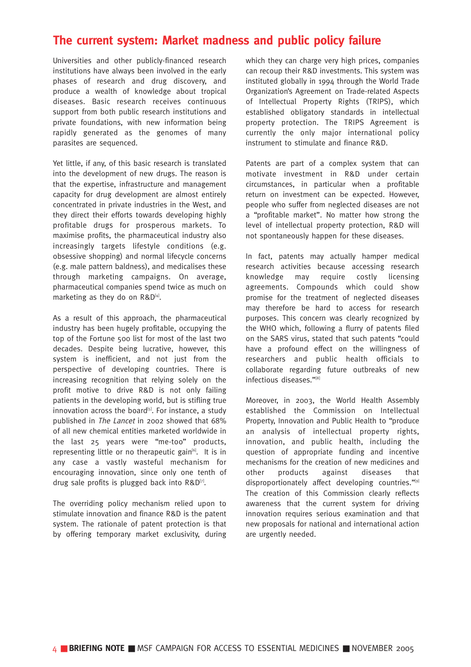## **The current system: Market madness and public policy failure**

Universities and other publicly-financed research institutions have always been involved in the early phases of research and drug discovery, and produce a wealth of knowledge about tropical diseases. Basic research receives continuous support from both public research institutions and private foundations, with new information being rapidly generated as the genomes of many parasites are sequenced.

Yet little, if any, of this basic research is translated into the development of new drugs. The reason is that the expertise, infrastructure and management capacity for drug development are almost entirely concentrated in private industries in the West, and they direct their efforts towards developing highly profitable drugs for prosperous markets. To maximise profits, the pharmaceutical industry also increasingly targets lifestyle conditions (e.g. obsessive shopping) and normal lifecycle concerns (e.g. male pattern baldness), and medicalises these through marketing campaigns. On average, pharmaceutical companies spend twice as much on marketing as they do on R&D<sup>[4]</sup>.

As a result of this approach, the pharmaceutical industry has been hugely profitable, occupying the top of the Fortune 500 list for most of the last two decades. Despite being lucrative, however, this system is inefficient, and not just from the perspective of developing countries. There is increasing recognition that relying solely on the profit motive to drive R&D is not only failing patients in the developing world, but is stifling true innovation across the board<sup>[5]</sup>. For instance, a study published in The Lancet in 2002 showed that 68% of all new chemical entities marketed worldwide in the last 25 years were "me-too" products, representing little or no therapeutic gain<sup>[6]</sup>. It is in any case a vastly wasteful mechanism for encouraging innovation, since only one tenth of drug sale profits is plugged back into  $R&D^{[7]}$ .

The overriding policy mechanism relied upon to stimulate innovation and finance R&D is the patent system. The rationale of patent protection is that by offering temporary market exclusivity, during which they can charge very high prices, companies can recoup their R&D investments. This system was instituted globally in 1994 through the World Trade Organization's Agreement on Trade-related Aspects of Intellectual Property Rights (TRIPS), which established obligatory standards in intellectual property protection. The TRIPS Agreement is currently the only major international policy instrument to stimulate and finance R&D.

Patents are part of a complex system that can motivate investment in R&D under certain circumstances, in particular when a profitable return on investment can be expected. However, people who suffer from neglected diseases are not a "profitable market". No matter how strong the level of intellectual property protection, R&D will not spontaneously happen for these diseases.

In fact, patents may actually hamper medical research activities because accessing research knowledge may require costly licensing agreements. Compounds which could show promise for the treatment of neglected diseases may therefore be hard to access for research purposes. This concern was clearly recognized by the WHO which, following a flurry of patents filed on the SARS virus, stated that such patents "could have a profound effect on the willingness of researchers and public health officials to collaborate regarding future outbreaks of new infectious diseases."[8]

Moreover, in 2003, the World Health Assembly established the Commission on Intellectual Property, Innovation and Public Health to "produce an analysis of intellectual property rights, innovation, and public health, including the question of appropriate funding and incentive mechanisms for the creation of new medicines and other products against diseases that disproportionately affect developing countries."<sup>[9]</sup> The creation of this Commission clearly reflects awareness that the current system for driving innovation requires serious examination and that new proposals for national and international action are urgently needed.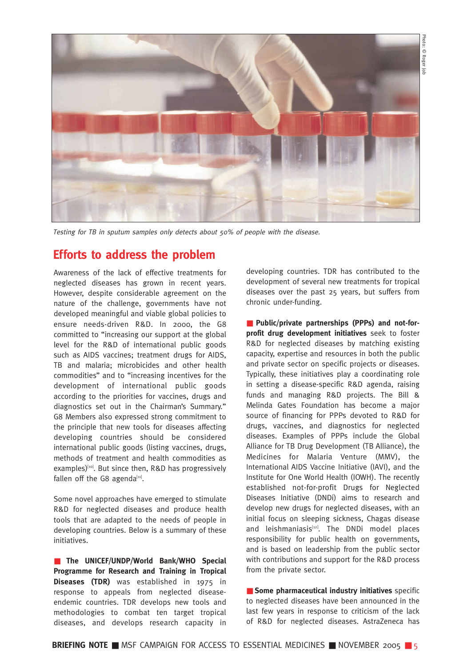

Testing for TB in sputum samples only detects about 50% of people with the disease.

## **Efforts to address the problem**

Awareness of the lack of effective treatments for neglected diseases has grown in recent years. However, despite considerable agreement on the nature of the challenge, governments have not developed meaningful and viable global policies to ensure needs-driven R&D. In 2000, the G8 committed to "increasing our support at the global level for the R&D of international public goods such as AIDS vaccines; treatment drugs for AIDS, TB and malaria; microbicides and other health commodities" and to "increasing incentives for the development of international public goods according to the priorities for vaccines, drugs and diagnostics set out in the Chairman's Summary." G8 Members also expressed strong commitment to the principle that new tools for diseases affecting developing countries should be considered international public goods (listing vaccines, drugs, methods of treatment and health commodities as examples)<sup>[10]</sup>. But since then, R&D has progressively fallen off the G8 agenda $[11]$ .

Some novel approaches have emerged to stimulate R&D for neglected diseases and produce health tools that are adapted to the needs of people in developing countries. Below is a summary of these initiatives.

■ **The UNICEF/UNDP/World Bank/WHO Special Programme for Research and Training in Tropical Diseases (TDR)** was established in 1975 in response to appeals from neglected diseaseendemic countries. TDR develops new tools and methodologies to combat ten target tropical diseases, and develops research capacity in

developing countries. TDR has contributed to the development of several new treatments for tropical diseases over the past 25 years, but suffers from chronic under-funding.

■ Public/private partnerships (PPPs) and not-for**profit drug development initiatives** seek to foster R&D for neglected diseases by matching existing capacity, expertise and resources in both the public and private sector on specific projects or diseases. Typically, these initiatives play a coordinating role in setting a disease-specific R&D agenda, raising funds and managing R&D projects. The Bill & Melinda Gates Foundation has become a major source of financing for PPPs devoted to R&D for drugs, vaccines, and diagnostics for neglected diseases. Examples of PPPs include the Global Alliance for TB Drug Development (TB Alliance), the Medicines for Malaria Venture (MMV), the International AIDS Vaccine Initiative (IAVI), and the Institute for One World Health (IOWH). The recently established not-for-profit Drugs for Neglected Diseases Initiative (DNDi) aims to research and develop new drugs for neglected diseases, with an initial focus on sleeping sickness, Chagas disease and leishmaniasis $[12]$ . The DNDi model places responsibility for public health on governments, and is based on leadership from the public sector with contributions and support for the R&D process from the private sector.

■ **Some pharmaceutical industry initiatives** specific to neglected diseases have been announced in the last few years in response to criticism of the lack of R&D for neglected diseases. AstraZeneca has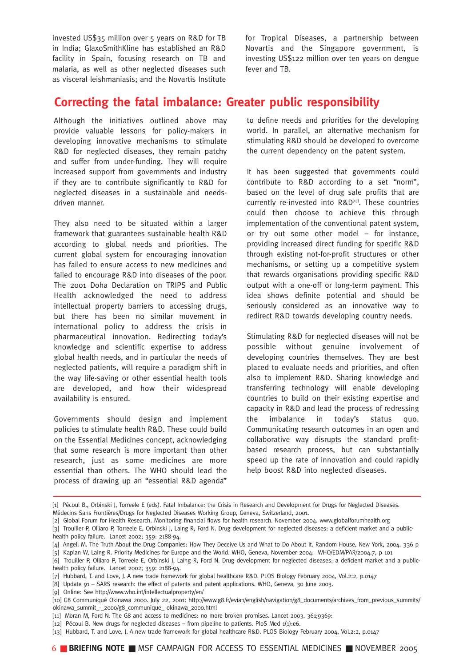invested US\$35 million over 5 years on R&D for TB in India; GlaxoSmithKline has established an R&D facility in Spain, focusing research on TB and malaria, as well as other neglected diseases such as visceral leishmaniasis; and the Novartis Institute for Tropical Diseases, a partnership between Novartis and the Singapore government, is investing US\$122 million over ten years on dengue fever and TB.

## **Correcting the fatal imbalance: Greater public responsibility**

Although the initiatives outlined above may provide valuable lessons for policy-makers in developing innovative mechanisms to stimulate R&D for neglected diseases, they remain patchy and suffer from under-funding. They will require increased support from governments and industry if they are to contribute significantly to R&D for neglected diseases in a sustainable and needsdriven manner.

They also need to be situated within a larger framework that guarantees sustainable health R&D according to global needs and priorities. The current global system for encouraging innovation has failed to ensure access to new medicines and failed to encourage R&D into diseases of the poor. The 2001 Doha Declaration on TRIPS and Public Health acknowledged the need to address intellectual property barriers to accessing drugs, but there has been no similar movement in international policy to address the crisis in pharmaceutical innovation. Redirecting today's knowledge and scientific expertise to address global health needs, and in particular the needs of neglected patients, will require a paradigm shift in the way life-saving or other essential health tools are developed, and how their widespread availability is ensured.

Governments should design and implement policies to stimulate health R&D. These could build on the Essential Medicines concept, acknowledging that some research is more important than other research, just as some medicines are more essential than others. The WHO should lead the process of drawing up an "essential R&D agenda"

to define needs and priorities for the developing world. In parallel, an alternative mechanism for stimulating R&D should be developed to overcome the current dependency on the patent system.

It has been suggested that governments could contribute to R&D according to a set "norm", based on the level of drug sale profits that are currently re-invested into R&D[13]. These countries could then choose to achieve this through implementation of the conventional patent system, or try out some other model – for instance, providing increased direct funding for specific R&D through existing not-for-profit structures or other mechanisms, or setting up a competitive system that rewards organisations providing specific R&D output with a one-off or long-term payment. This idea shows definite potential and should be seriously considered as an innovative way to redirect R&D towards developing country needs.

Stimulating R&D for neglected diseases will not be possible without genuine involvement of developing countries themselves. They are best placed to evaluate needs and priorities, and often also to implement R&D. Sharing knowledge and transferring technology will enable developing countries to build on their existing expertise and capacity in R&D and lead the process of redressing the imbalance in today's status quo. Communicating research outcomes in an open and collaborative way disrupts the standard profitbased research process, but can substantially speed up the rate of innovation and could rapidly help boost R&D into neglected diseases.

[9] Online: See http://www.who.int/intellectualproperty/en/

6 ■ **BRIEFING NOTE** ■ MSF CAMPAIGN FOR ACCESS TO ESSENTIAL MEDICINES ■ NOVEMBER 2005

<sup>[1]</sup> Pécoul B., Orbinski J, Torreele E (eds). Fatal Imbalance: the Crisis in Research and Development for Drugs for Neglected Diseases. Médecins Sans Frontières/Drugs for Neglected Diseases Working Group, Geneva, Switzerland, 2001.

<sup>[2]</sup> Global Forum for Health Research. Monitoring financial flows for health research. November 2004. www.globalforumhealth.org

<sup>[3]</sup> Trouiller P, Olliaro P, Torreele E, Orbinski J, Laing R, Ford N. Drug development for neglected diseases: a deficient market and a publichealth policy failure. Lancet 2002; 359: 2188-94.

<sup>[4]</sup> Angell M. The Truth About the Drug Companies: How They Deceive Us and What to Do About It. Random House, New York, 2004. 336 p [5] Kaplan W, Laing R. Priority Medicines for Europe and the World. WHO, Geneva, November 2004. WHO/EDM/PAR/2004.7, p 101

<sup>[6]</sup> Trouiller P, Olliaro P, Torreele E, Orbinski J, Laing R, Ford N. Drug development for neglected diseases: a deficient market and a publichealth policy failure. Lancet 2002; 359: 2188-94.

<sup>[7]</sup> Hubbard, T. and Love, J. A new trade framework for global healthcare R&D. PLOS Biology February 2004, Vol.2:2, p.0147

<sup>[8]</sup> Update 91 – SARS research: the effect of patents and patent applications. WHO, Geneva, 30 June 2003.

<sup>[10]</sup> G8 Communiqué Okinawa 2000. July 22, 2001: http://www.g8.fr/evian/english/navigation/g8\_documents/archives\_from\_previous\_summits/ okinawa\_summit\_-\_2000/g8\_communique\_ okinawa\_2000.html

<sup>[11]</sup> Moran M, Ford N. The G8 and access to medicines: no more broken promises. Lancet 2003. 361;9369:

<sup>[12]</sup> Pécoul B. New drugs for neglected diseases – from pipeline to patients. PloS Med 1(1):e6.

<sup>[13]</sup> Hubbard, T. and Love, J. A new trade framework for global healthcare R&D. PLOS Biology February 2004, Vol.2:2, p.0147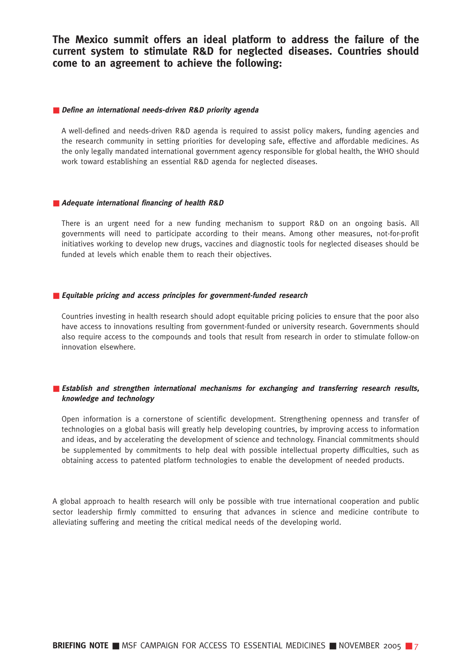**The Mexico summit offers an ideal platform to address the failure of the current system to stimulate R&D for neglected diseases. Countries should come to an agreement to achieve the following:**

#### ■ **Define an international needs-driven R&D priority agenda**

A well-defined and needs-driven R&D agenda is required to assist policy makers, funding agencies and the research community in setting priorities for developing safe, effective and affordable medicines. As the only legally mandated international government agency responsible for global health, the WHO should work toward establishing an essential R&D agenda for neglected diseases.

#### ■ **Adequate international financing of health R&D**

There is an urgent need for a new funding mechanism to support R&D on an ongoing basis. All governments will need to participate according to their means. Among other measures, not-for-profit initiatives working to develop new drugs, vaccines and diagnostic tools for neglected diseases should be funded at levels which enable them to reach their objectives.

#### ■ **Equitable pricing and access principles for government-funded research**

Countries investing in health research should adopt equitable pricing policies to ensure that the poor also have access to innovations resulting from government-funded or university research. Governments should also require access to the compounds and tools that result from research in order to stimulate follow-on innovation elsewhere.

### ■ **Establish and strengthen international mechanisms for exchanging and transferring research results, knowledge and technology**

Open information is a cornerstone of scientific development. Strengthening openness and transfer of technologies on a global basis will greatly help developing countries, by improving access to information and ideas, and by accelerating the development of science and technology. Financial commitments should be supplemented by commitments to help deal with possible intellectual property difficulties, such as obtaining access to patented platform technologies to enable the development of needed products.

A global approach to health research will only be possible with true international cooperation and public sector leadership firmly committed to ensuring that advances in science and medicine contribute to alleviating suffering and meeting the critical medical needs of the developing world.